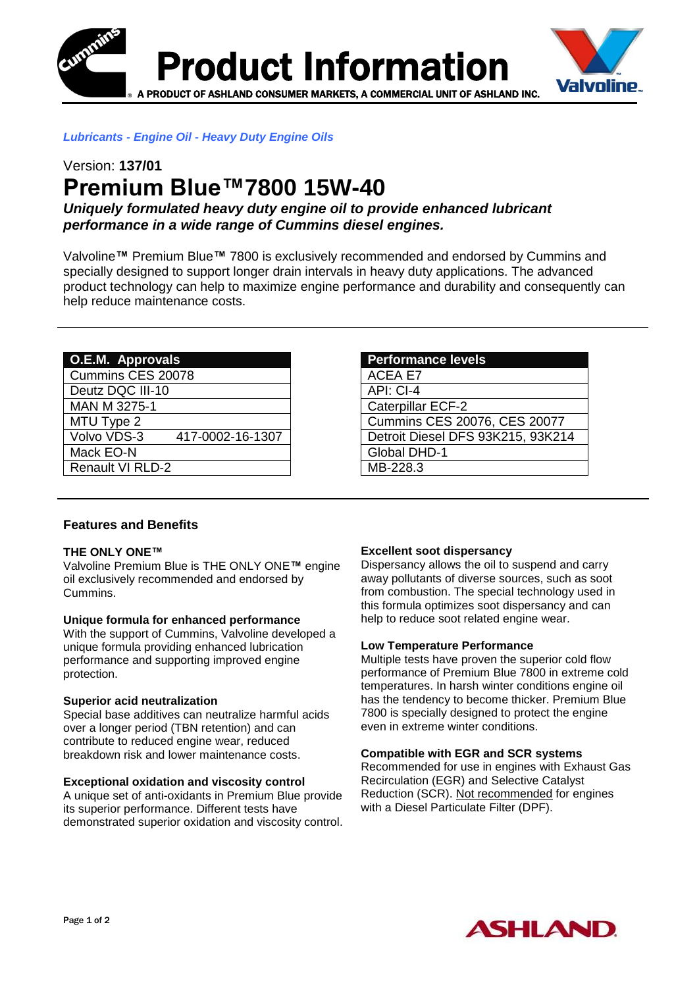



## *Lubricants - Engine Oil - Heavy Duty Engine Oils*

# Version: **137/01 Premium Blue™7800 15W-40**

*Uniquely formulated heavy duty engine oil to provide enhanced lubricant performance in a wide range of Cummins diesel engines.*

Valvoline**™** Premium Blue**™** 7800 is exclusively recommended and endorsed by Cummins and specially designed to support longer drain intervals in heavy duty applications. The advanced product technology can help to maximize engine performance and durability and consequently can help reduce maintenance costs.

| O.E.M. Approvals        |                  |
|-------------------------|------------------|
| Cummins CES 20078       |                  |
| Deutz DQC III-10        |                  |
| <b>MAN M 3275-1</b>     |                  |
| MTU Type 2              |                  |
| Volvo VDS-3             | 417-0002-16-1307 |
| Mack EO-N               |                  |
| <b>Renault VI RLD-2</b> |                  |

#### **Performance levels**

ACEA E7 API: CI-4 Caterpillar ECF-2 Cummins CES 20076, CES 20077 Detroit Diesel DFS 93K215, 93K214 Global DHD-1 MB-228.3

## **Features and Benefits**

#### **THE ONLY ONE™**

Valvoline Premium Blue is THE ONLY ONE**™** engine oil exclusively recommended and endorsed by Cummins.

#### **Unique formula for enhanced performance**

With the support of Cummins, Valvoline developed a unique formula providing enhanced lubrication performance and supporting improved engine protection.

#### **Superior acid neutralization**

Special base additives can neutralize harmful acids over a longer period (TBN retention) and can contribute to reduced engine wear, reduced breakdown risk and lower maintenance costs.

#### **Exceptional oxidation and viscosity control**

A unique set of anti-oxidants in Premium Blue provide its superior performance. Different tests have demonstrated superior oxidation and viscosity control.

#### **Excellent soot dispersancy**

Dispersancy allows the oil to suspend and carry away pollutants of diverse sources, such as soot from combustion. The special technology used in this formula optimizes soot dispersancy and can help to reduce soot related engine wear.

#### **Low Temperature Performance**

Multiple tests have proven the superior cold flow performance of Premium Blue 7800 in extreme cold temperatures. In harsh winter conditions engine oil has the tendency to become thicker. Premium Blue 7800 is specially designed to protect the engine even in extreme winter conditions.

#### **Compatible with EGR and SCR systems**

Recommended for use in engines with Exhaust Gas Recirculation (EGR) and Selective Catalyst Reduction (SCR). Not recommended for engines with a Diesel Particulate Filter (DPF).